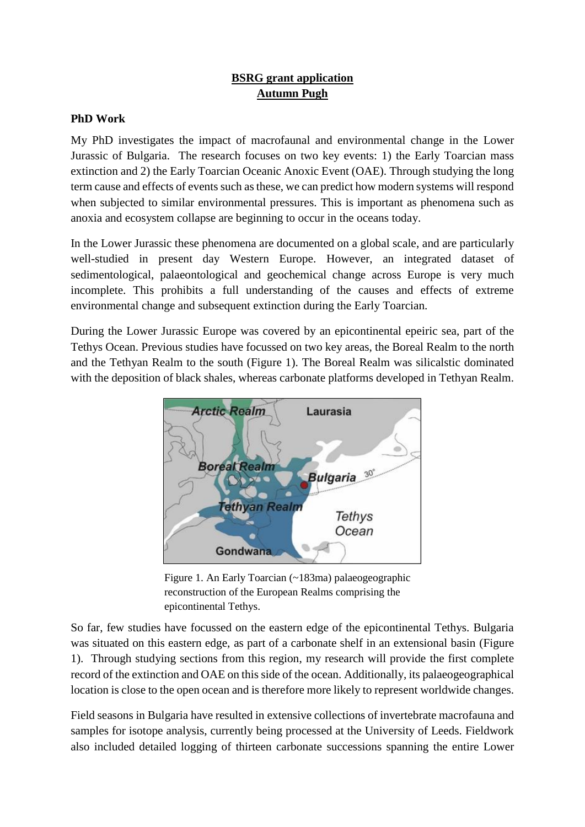## **BSRG grant application Autumn Pugh**

## **PhD Work**

My PhD investigates the impact of macrofaunal and environmental change in the Lower Jurassic of Bulgaria. The research focuses on two key events: 1) the Early Toarcian mass extinction and 2) the Early Toarcian Oceanic Anoxic Event (OAE). Through studying the long term cause and effects of events such as these, we can predict how modern systems will respond when subjected to similar environmental pressures. This is important as phenomena such as anoxia and ecosystem collapse are beginning to occur in the oceans today.

In the Lower Jurassic these phenomena are documented on a global scale, and are particularly well-studied in present day Western Europe. However, an integrated dataset of sedimentological, palaeontological and geochemical change across Europe is very much incomplete. This prohibits a full understanding of the causes and effects of extreme environmental change and subsequent extinction during the Early Toarcian.

During the Lower Jurassic Europe was covered by an epicontinental epeiric sea, part of the Tethys Ocean. Previous studies have focussed on two key areas, the Boreal Realm to the north and the Tethyan Realm to the south (Figure 1). The Boreal Realm was silicalstic dominated with the deposition of black shales, whereas carbonate platforms developed in Tethyan Realm.



Figure 1. An Early Toarcian (~183ma) palaeogeographic reconstruction of the European Realms comprising the epicontinental Tethys.

So far, few studies have focussed on the eastern edge of the epicontinental Tethys. Bulgaria was situated on this eastern edge, as part of a carbonate shelf in an extensional basin (Figure 1). Through studying sections from this region, my research will provide the first complete record of the extinction and OAE on this side of the ocean. Additionally, its palaeogeographical location is close to the open ocean and is therefore more likely to represent worldwide changes.

Field seasons in Bulgaria have resulted in extensive collections of invertebrate macrofauna and samples for isotope analysis, currently being processed at the University of Leeds. Fieldwork also included detailed logging of thirteen carbonate successions spanning the entire Lower